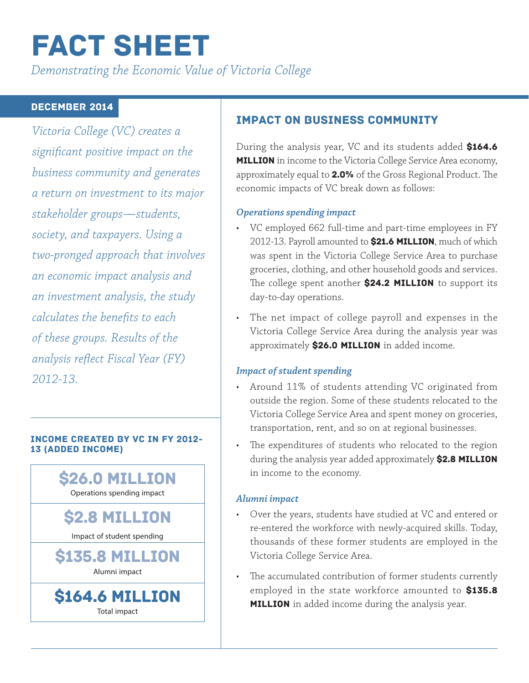# Fact Sheet

*Demonstrating the Economic Value of Victoria College*

## December 2014

*Victoria College (VC) creates a significant positive impact on the business community and generates a return on investment to its major stakeholder groups—students, society, and taxpayers. Using a two-pronged approach that involves an economic impact analysis and an investment analysis, the study calculates the benefits to each of these groups. Results of the analysis reflect Fiscal Year (FY) 2012-13.*

## Income created by VC in FY 2012- 13 (Added income)



# Impact on Business Community

During the analysis year, VC and its students added \$164.6 **MILLION** in income to the Victoria College Service Area economy, approximately equal to 2.0% of the Gross Regional Product. The economic impacts of VC break down as follows:

## *Operations spending impact*

- VC employed 662 full-time and part-time employees in FY 2012-13. Payroll amounted to \$21.6 MILLION, much of which was spent in the Victoria College Service Area to purchase groceries, clothing, and other household goods and services. The college spent another \$24.2 MILLION to support its day-to-day operations.
- The net impact of college payroll and expenses in the Victoria College Service Area during the analysis year was approximately \$26.0 MILLION in added income.

## *Impact of student spending*

- Around 11% of students attending VC originated from outside the region. Some of these students relocated to the Victoria College Service Area and spent money on groceries, transportation, rent, and so on at regional businesses.
- The expenditures of students who relocated to the region during the analysis year added approximately \$2.8 MILLION in income to the economy.

## *Alumni impact*

- Over the years, students have studied at VC and entered or re-entered the workforce with newly-acquired skills. Today, thousands of these former students are employed in the Victoria College Service Area.
- The accumulated contribution of former students currently employed in the state workforce amounted to \$135.8 **MILLION** in added income during the analysis year.